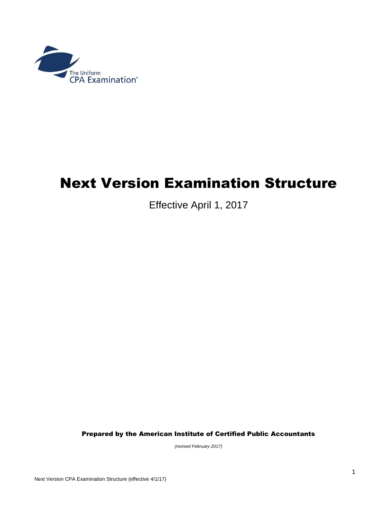

## Next Version Examination Structure

Effective April 1, 2017

Prepared by the American Institute of Certified Public Accountants

*(revised February 2017)*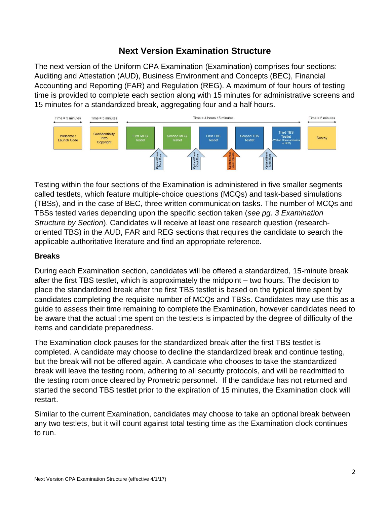## **Next Version Examination Structure**

The next version of the Uniform CPA Examination (Examination) comprises four sections: Auditing and Attestation (AUD), Business Environment and Concepts (BEC), Financial Accounting and Reporting (FAR) and Regulation (REG). A maximum of four hours of testing time is provided to complete each section along with 15 minutes for administrative screens and 15 minutes for a standardized break, aggregating four and a half hours.



Testing within the four sections of the Examination is administered in five smaller segments called testlets, which feature multiple-choice questions (MCQs) and task-based simulations (TBSs), and in the case of BEC, three written communication tasks. The number of MCQs and TBSs tested varies depending upon the specific section taken (*see pg. 3 Examination Structure by Section*). Candidates will receive at least one research question (researchoriented TBS) in the AUD, FAR and REG sections that requires the candidate to search the applicable authoritative literature and find an appropriate reference.

## **Breaks**

During each Examination section, candidates will be offered a standardized, 15-minute break after the first TBS testlet, which is approximately the midpoint – two hours. The decision to place the standardized break after the first TBS testlet is based on the typical time spent by candidates completing the requisite number of MCQs and TBSs. Candidates may use this as a guide to assess their time remaining to complete the Examination, however candidates need to be aware that the actual time spent on the testlets is impacted by the degree of difficulty of the items and candidate preparedness.

The Examination clock pauses for the standardized break after the first TBS testlet is completed. A candidate may choose to decline the standardized break and continue testing, but the break will not be offered again. A candidate who chooses to take the standardized break will leave the testing room, adhering to all security protocols, and will be readmitted to the testing room once cleared by Prometric personnel. If the candidate has not returned and started the second TBS testlet prior to the expiration of 15 minutes, the Examination clock will restart.

Similar to the current Examination, candidates may choose to take an optional break between any two testlets, but it will count against total testing time as the Examination clock continues to run.